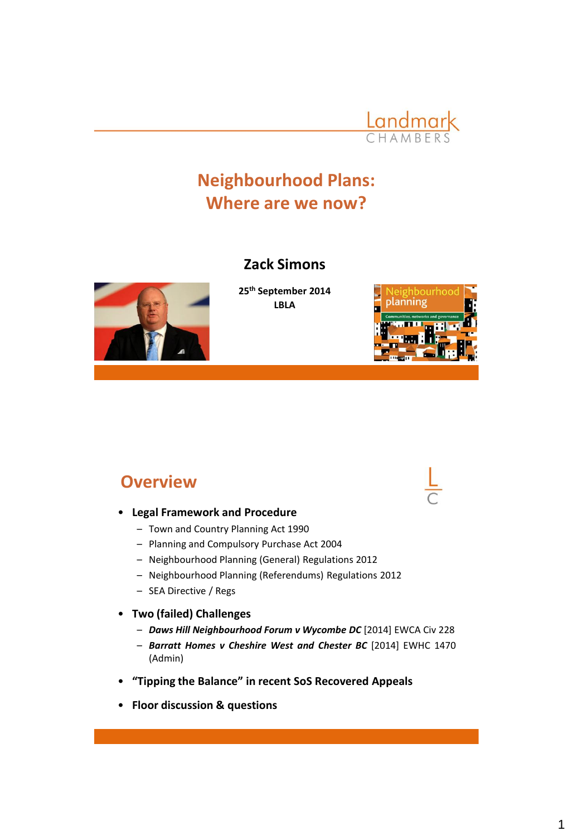

## **Neighbourhood Plans: Where are we now?**

#### **Zack Simons**



**25th September 2014 LBLA**



#### **Overview**

- **Legal Framework and Procedure**
	- Town and Country Planning Act 1990
	- Planning and Compulsory Purchase Act 2004
	- Neighbourhood Planning (General) Regulations 2012
	- Neighbourhood Planning (Referendums) Regulations 2012
	- SEA Directive / Regs
- **Two (failed) Challenges**
	- *Daws Hill Neighbourhood Forum v Wycombe DC* [2014] EWCA Civ 228
	- *Barratt Homes v Cheshire West and Chester BC* [2014] EWHC 1470 (Admin)
- **"Tipping the Balance" in recent SoS Recovered Appeals**
- **Floor discussion & questions**

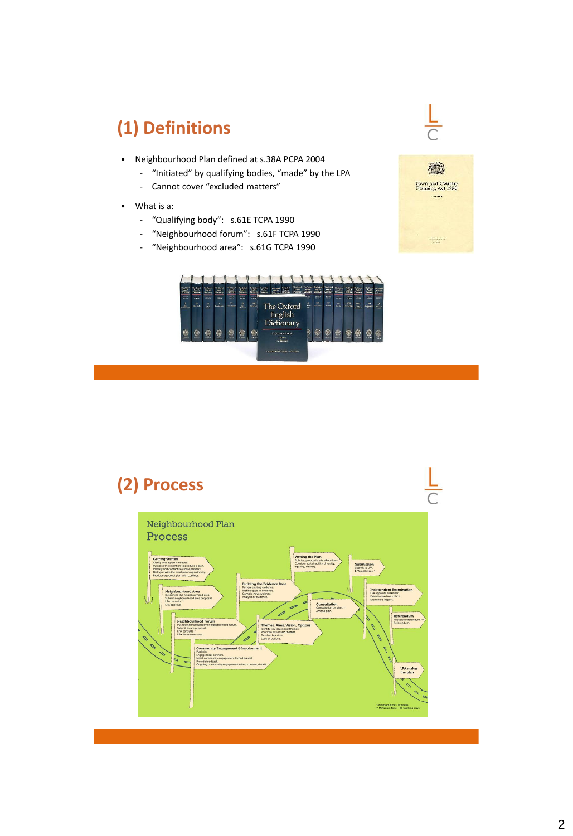# **(1) Definitions**

- Neighbourhood Plan defined at s.38A PCPA 2004
	- "Initiated" by qualifying bodies, "made" by the LPA
	- Cannot cover "excluded matters"
- What is a:
	- "Qualifying body": s.61E TCPA 1990
	- "Neighbourhood forum": s.61F TCPA 1990
	- "Neighbourhood area": s.61G TCPA 1990





#### **(2) Process** $\frac{L}{C}$ Neighbourhood Plan Process Writing the Plan<br>Policies, proposals, site allow<br>Consider sustainability, dive Submission<br>Submit to LPA<br>LPA publicises. ng the Evide Consultation Aims, Vision, Opti<br>y issues and themes. ity Frina LPA makes<br>the plan \* Minimum time - 6 weeks<br>\*\* Minimum time - 25 work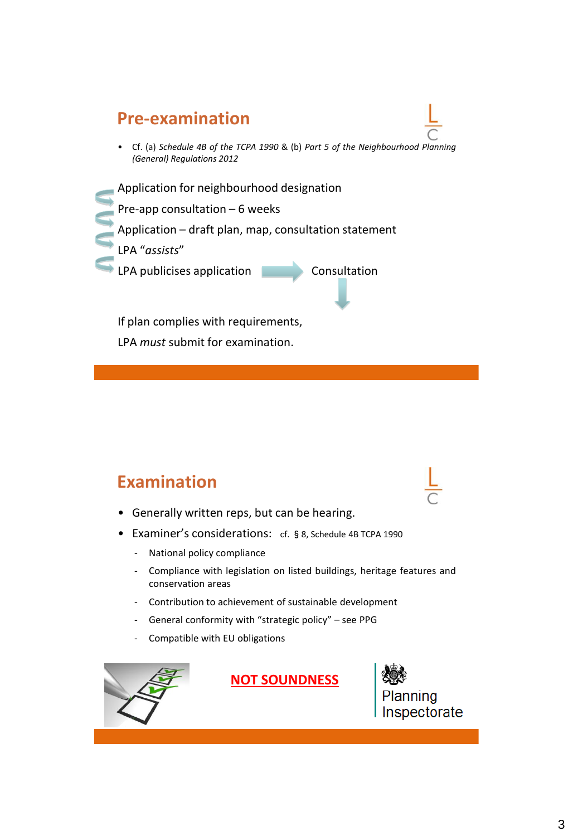#### **Pre-examination**

- Cf. (a) *Schedule 4B of the TCPA 1990* & (b) *Part 5 of the Neighbourhood Planning (General) Regulations 2012*
- Application for neighbourhood designation
- Pre-app consultation 6 weeks
- Application draft plan, map, consultation statement
- LPA "*assists*"
- LPA publicises application **Consultation**

If plan complies with requirements, LPA *must* submit for examination.

#### **Examination**

- Generally written reps, but can be hearing.
- Examiner's considerations: cf. §8, Schedule 4B TCPA 1990
	- National policy compliance
	- Compliance with legislation on listed buildings, heritage features and conservation areas
	- Contribution to achievement of sustainable development
	- General conformity with "strategic policy" see PPG
	- Compatible with EU obligations



**NOT SOUNDNESS**



Inspectorate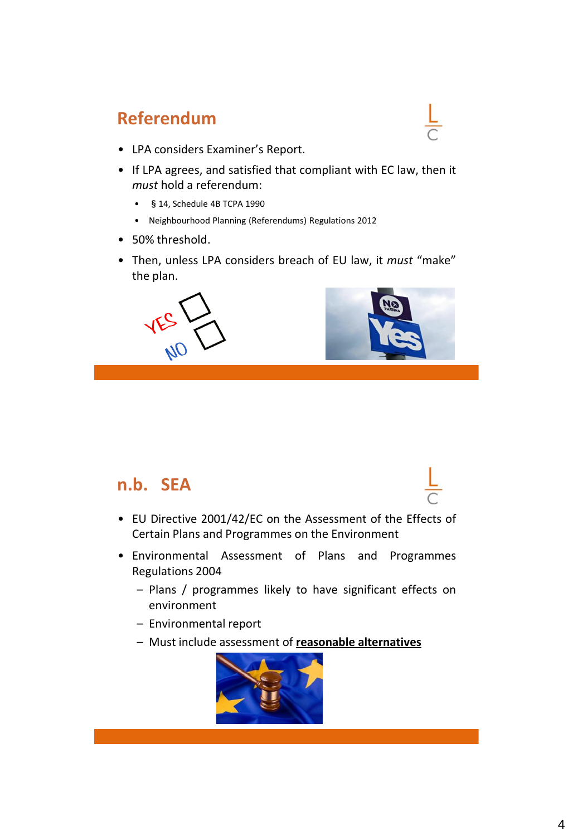#### **Referendum**

- LPA considers Examiner's Report.
- If LPA agrees, and satisfied that compliant with EC law, then it *must* hold a referendum:
	- §14, Schedule 4B TCPA 1990
	- Neighbourhood Planning (Referendums) Regulations 2012
- 50% threshold.
- Then, unless LPA considers breach of EU law, it *must* "make" the plan.





#### **n.b. SEA**

- EU Directive 2001/42/EC on the Assessment of the Effects of Certain Plans and Programmes on the Environment
- Environmental Assessment of Plans and Programmes Regulations 2004
	- Plans / programmes likely to have significant effects on environment
	- Environmental report
	- Must include assessment of **reasonable alternatives**

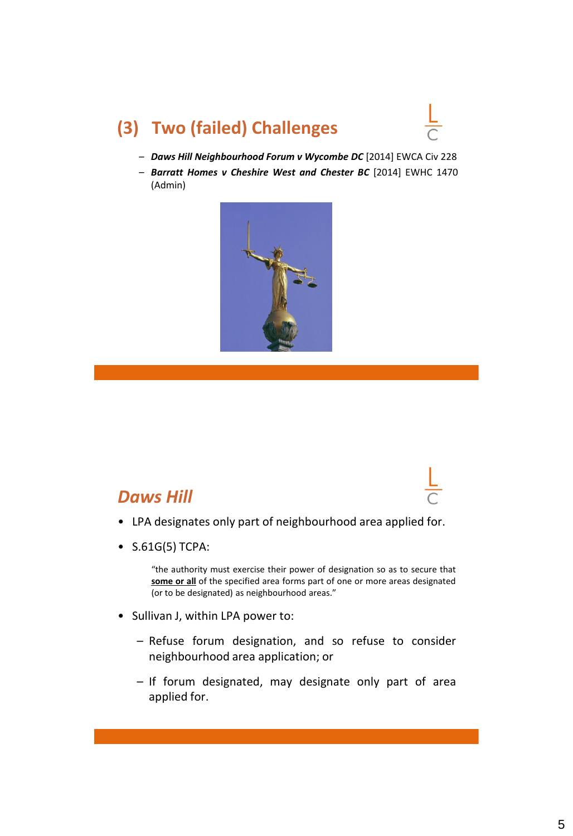## **(3) Two (failed) Challenges**

- *Daws Hill Neighbourhood Forum v Wycombe DC* [2014] EWCA Civ 228
- *Barratt Homes v Cheshire West and Chester BC* [2014] EWHC 1470 (Admin)



#### *Daws Hill*

- LPA designates only part of neighbourhood area applied for.
- S.61G(5) TCPA:

"the authority must exercise their power of designation so as to secure that **some or all** of the specified area forms part of one or more areas designated (or to be designated) as neighbourhood areas."

- Sullivan J, within LPA power to:
	- Refuse forum designation, and so refuse to consider neighbourhood area application; or
	- If forum designated, may designate only part of area applied for.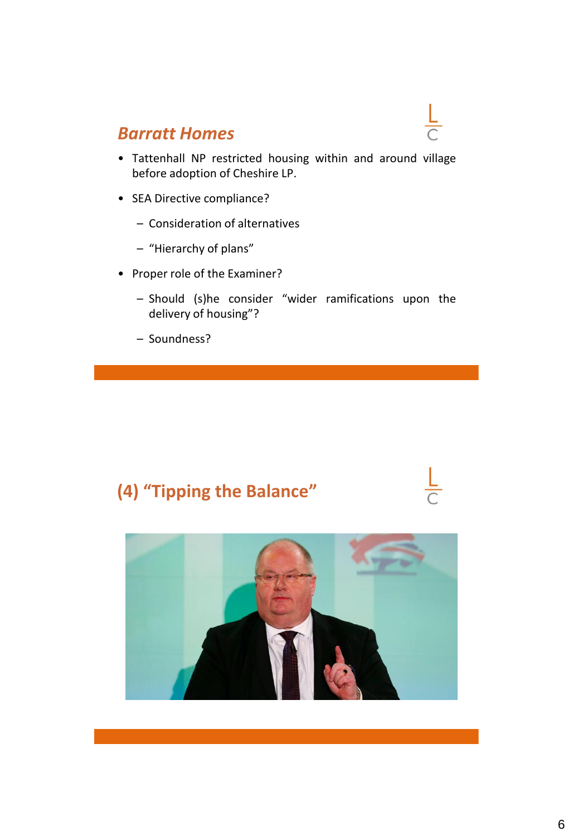#### *Barratt Homes*

- Tattenhall NP restricted housing within and around village before adoption of Cheshire LP.
- SEA Directive compliance?
	- Consideration of alternatives
	- "Hierarchy of plans"
- Proper role of the Examiner?
	- Should (s)he consider "wider ramifications upon the delivery of housing"?
	- Soundness?

## **(4) "Tipping the Balance"**

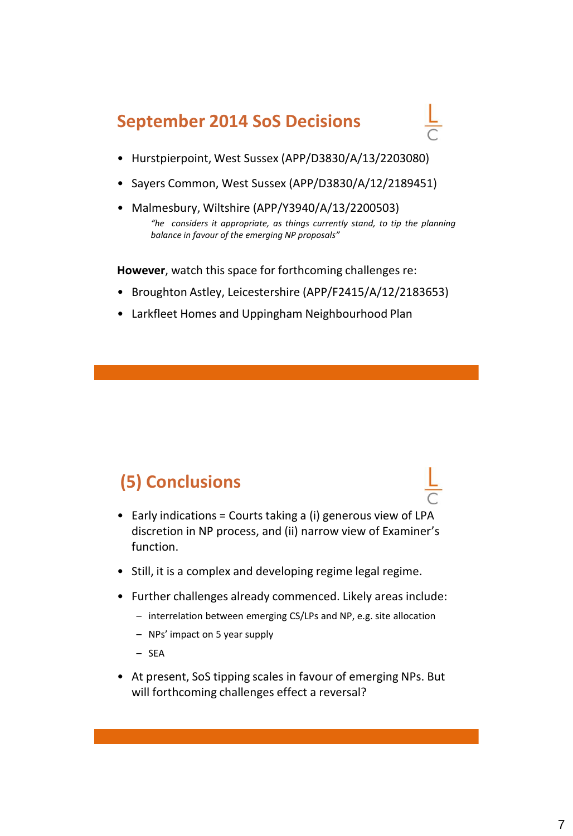#### **September 2014 SoS Decisions**



- Hurstpierpoint, West Sussex (APP/D3830/A/13/2203080)
- Sayers Common, West Sussex (APP/D3830/A/12/2189451)
- Malmesbury, Wiltshire (APP/Y3940/A/13/2200503) *"he considers it appropriate, as things currently stand, to tip the planning balance in favour of the emerging NP proposals"*

**However**, watch this space for forthcoming challenges re:

- Broughton Astley, Leicestershire (APP/F2415/A/12/2183653)
- Larkfleet Homes and Uppingham Neighbourhood Plan

## **(5) Conclusions**

- Early indications = Courts taking a (i) generous view of LPA discretion in NP process, and (ii) narrow view of Examiner's function.
- Still, it is a complex and developing regime legal regime.
- Further challenges already commenced. Likely areas include:
	- interrelation between emerging CS/LPs and NP, e.g. site allocation
	- NPs' impact on 5 year supply
	- SEA
- At present, SoS tipping scales in favour of emerging NPs. But will forthcoming challenges effect a reversal?